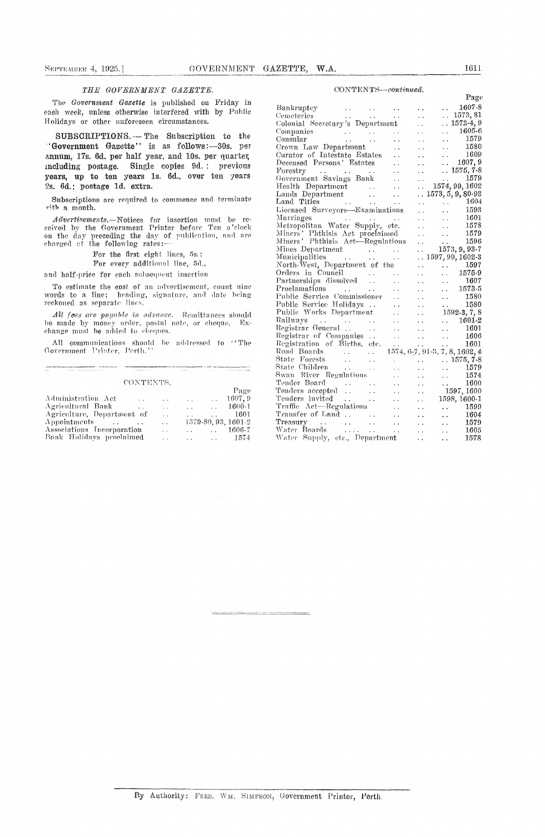### THE GOVERNMENT GAZETTE.

The Government Gazette is published on Friday in each week, unless otherwise interfered with by Public Holidays or other unforeseen circumstances.

SUBSCRIPTIONS. - The Subscription to the "Government Gazette" is as follows:-30s. per annum, 17s. 6d. per half year, and 10s. per quarter, including postage. Single copies 9d.; previous years, up to ten years 1s. 6d., over ten years 2s. 6d.; postage 1d. extra.

Subscriptions are required to commence and terminate  $% \left\vert \left( \mathbf{1}_{\alpha}\right) \right\rangle$  with a month.

 $Advertisements$ . Notices for insertion must be received by the Government Printer before Ten o'clock on the day preceding the day of publication, and are charged at the following rates:

For the first eight lines, 5s.;

For every additional line, 5d.,

and half-price for each subsequent insertion

To estimate the cost of an advertisement, count nine words to a line; heading, signature, and date being reckoned as separate lines.

All fees are payable in advance. Remittances should be made by money order, postal note, or cheque, change must be added to cheques.  $E_X$ 

All communications should be addressed to ''The Government Printer, Perth.''

#### CONTRNTS

|                            |                      | .            |                         |                               |                     |
|----------------------------|----------------------|--------------|-------------------------|-------------------------------|---------------------|
|                            |                      |              |                         |                               | Page                |
| Administration Act         | $\sim$ $\sim$        | $\sim$       | $\sim 100$ km s $^{-1}$ |                               | $\ldots$ 1607.9     |
| Agricultural Bank          | $\ddot{\phantom{0}}$ | $\sim$       | $\sim$ $\sim$           | $\mathcal{L}(\mathcal{A})$ .  | 1600-1              |
| Agriculture, Department of |                      | $\mathbf{r}$ |                         | $\mathbf{r}$                  | -1601               |
| Appointments               |                      | $\sim$       |                         |                               | 1579-80, 93, 1601-2 |
| Associations Incorporation |                      | $\sim$       |                         | and the state of the state of | 1606-7              |
| Bank Holidays proclaimed   |                      |              | $\sim$ $\sim$           | $\sim 100$ km s $^{-1}$       | 1574                |

### $CONTENTS—continued.$

| ユーエ エコエユ エルパー                                                                                          |                            |                                                                                                                            |
|--------------------------------------------------------------------------------------------------------|----------------------------|----------------------------------------------------------------------------------------------------------------------------|
|                                                                                                        |                            | Page                                                                                                                       |
| Bankruptey<br>$\mathcal{L}(\mathcal{L})$ and $\mathcal{L}(\mathcal{L})$ and $\mathcal{L}(\mathcal{L})$ |                            | 1607-8<br>$\mathbf{L}$                                                                                                     |
| Cemeteries<br>$\mathbb{R}^{n \times n}$<br>$\omega_{\rm{max}}$<br>$\ddot{\phantom{a}}$                 | $\ddot{\phantom{a}}$       | $\ldots\ 1573,\,81$                                                                                                        |
| Colonial Secretary's Department                                                                        | $\ddot{\phantom{a}}$       | $. 1573-4, 9$                                                                                                              |
| Companies<br>$\sim$ $\sim$                                                                             | . .                        | 1605-6<br>a a con                                                                                                          |
| a na matangan<br>Kabupatèn Kabupatèn Ka<br>Consular<br>. .                                             | $\ddot{\phantom{0}}$       | $\therefore$ 1579                                                                                                          |
| Grown Law Department<br>. .                                                                            | $\ddot{\phantom{0}}$       | 1580<br>$\ddotsc$                                                                                                          |
| Curator of Intestate Estates                                                                           | . .                        | 1609<br>$\ddotsc$                                                                                                          |
| Deceased Persons' Estates                                                                              | . .                        | $\ldots$ 1607, 9                                                                                                           |
| Forestry                                                                                               | . .                        | $.1575, 7-8$                                                                                                               |
| rorestry<br>Government Savings Bank<br>$\ddotsc$                                                       | i.                         | 1579<br>$\mathbf{r}$ and $\mathbf{r}$                                                                                      |
| Health Department<br>$\ddot{\phantom{0}}$                                                              | $\mathcal{L}(\mathcal{L})$ | 1574, 99, 1602                                                                                                             |
| $\ddot{\phantom{0}}$                                                                                   |                            | $\ldots\,1573,5,9,80\,93$                                                                                                  |
| Lands Department<br>Land Titles<br>$\ddot{\phantom{a}}$                                                |                            | 1604                                                                                                                       |
| Licensed Surveyors-Examinations                                                                        | $\ddot{\phantom{0}}$       | <b>Contractor</b><br>$\frac{1604}{1593}$                                                                                   |
|                                                                                                        | $\ddot{\phantom{a}}$       | i.                                                                                                                         |
| Marriages                                                                                              |                            | $\frac{1601}{1578}$<br>$\sim$ .                                                                                            |
| Metropolitan Water Supply, etc.                                                                        | . .                        | $\mathcal{L}(\mathbf{x})$                                                                                                  |
| Miners' Phthisis Act proclaimed                                                                        | . .                        | 1579<br>$\ddot{\phantom{0}}$                                                                                               |
| Miners' Phthisis Act-Regulations                                                                       | $\ddot{\phantom{0}}$       | $\frac{1596}{1573, 9, 93\cdot 7}$                                                                                          |
|                                                                                                        | И,                         |                                                                                                                            |
|                                                                                                        |                            | $\ldots$ 1597, 99, 1602-3                                                                                                  |
| North-West, Department of the                                                                          |                            | 1597<br>$\epsilon_{\rm c}$ and $\epsilon_{\rm c}$<br>$\bullet$ , $\bullet$ , $\bullet$ , $\bullet$ , $\bullet$ , $\bullet$ |
| Orders in Council<br>$\sim$ .                                                                          | . .                        | 1575-9<br>$\ddot{\phantom{0}}$                                                                                             |
| Partnerships dissolved                                                                                 | $\ddot{\phantom{a}}$       | 1607<br>. .                                                                                                                |
| Proclamations                                                                                          | . .                        | 1573-5<br>. .                                                                                                              |
| Public Service Commissioner<br>$\ddot{\phantom{0}}$                                                    | $\ddot{\phantom{a}}$       | 1580<br>$\ddot{\phantom{0}}$                                                                                               |
| Public Service Holidays<br>$\ddot{\phantom{a}}$                                                        | e a l                      | 1580<br>$\ddotsc$                                                                                                          |
| Public Works Department<br>. .                                                                         | i.                         | $1592-3, 7, 8$                                                                                                             |
| Railways<br>Registrar General<br>. .                                                                   | . .                        | 1601-2<br>$\mathbf{r}$                                                                                                     |
| $\ddot{\phantom{a}}$                                                                                   | $\ddotsc$                  | 1601<br>$\ddot{\phantom{0}}$                                                                                               |
| Registrar of Companies<br>$\ddot{\phantom{0}}$                                                         | $\ddotsc$                  | 1606<br>$\ddotsc$                                                                                                          |
| Registration of Births, etc.<br>$\sim 10^{-11}$                                                        |                            | 1601<br>$\sim 100$ km s $^{-1}$ .<br>$\sim$                                                                                |
| Road Boards<br>$\ddot{\phantom{0}}$                                                                    |                            | 1574, 6-7, 91-3, 7, 8, 1602, 4                                                                                             |
| State Forests<br>$\ddot{\phantom{0}}$                                                                  |                            | $.1575, 7-8$                                                                                                               |
| State Children<br>$\mathbf{v}(\mathbf{x})$ , $\mathbf{v}(\mathbf{x})$<br>$\ddot{\phantom{0}}$          |                            | 1579<br>. .                                                                                                                |
| Swan River Regulations<br>έ.                                                                           | . .                        | 1574<br>$\mathbf{L}$                                                                                                       |
| Tender Board                                                                                           |                            | 1600<br>$\mathbf{r}$ , $\mathbf{r}$ , $\mathbf{r}$                                                                         |
| Tender Board<br>Tenders accepted                                                                       | 22                         | 1597,1600                                                                                                                  |
| Tenders invited                                                                                        | $\ddotsc$                  | 1598, 1600-1                                                                                                               |
| $\ddotsc$<br>i.<br>Traffic Act—Regulations                                                             | $\ddot{\phantom{0}}$       | 1599                                                                                                                       |
| $\ddotsc$                                                                                              | $\ddot{\phantom{0}}$       | <b>Alberta Controller</b>                                                                                                  |
| Transfer of Land<br>$\ddot{\phantom{0}}$                                                               | $\ddot{\phantom{0}}$       | 1604<br>$\ddot{\phantom{0}}$                                                                                               |
| $\sim$ $\sim$<br>$\ddotsc$                                                                             | $\ddot{\phantom{a}}$       | 1579<br>i in                                                                                                               |
| Water Boards<br>Water Supply, etc., Department<br>$\omega_{\rm{max}}$                                  | $\sim$ $\sim$              | 1605<br>i i l                                                                                                              |
|                                                                                                        | $\ddot{\phantom{a}}$       | 1578<br>L.                                                                                                                 |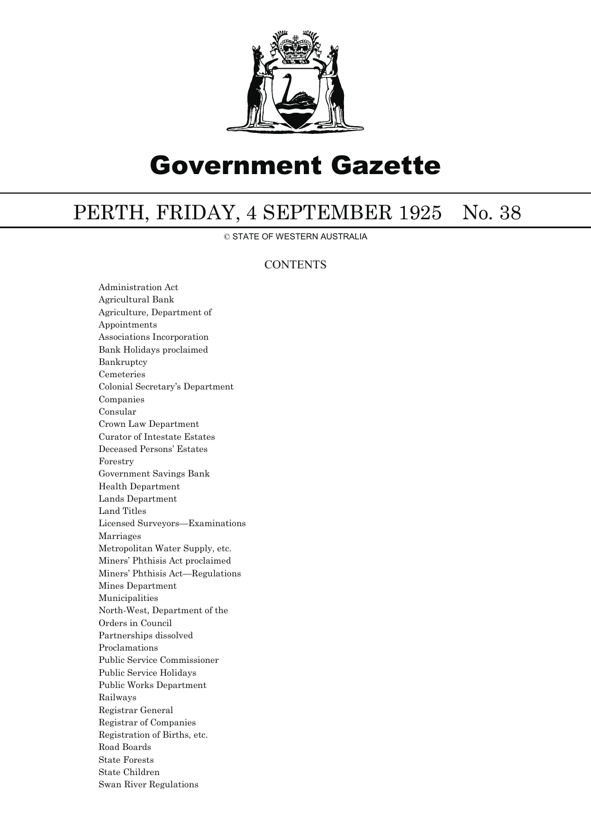

# Government Gazette

## PERTH, FRIDAY, 4 SEPTEMBER 1925 No. 38

© STATE OF WESTERN AUSTRALIA

### **CONTENTS**

Administration Act Agricultural Bank Agriculture, Department of Appointments Associations Incorporation Bank Holidays proclaimed Bankruptcy Cemeteries Colonial Secretary's Department Companies Consular Crown Law Department Curator of Intestate Estates Deceased Persons' Estates Forestry Government Savings Bank Health Department Lands Department Land Titles Licensed Surveyors—Examinations Marriages Metropolitan Water Supply, etc. Miners' Phthisis Act proclaimed Miners' Phthisis Act—Regulations Mines Department Municipalities North-West, Department of the Orders in Council Partnerships dissolved Proclamations Public Service Commissioner Public Service Holidays Public Works Department Railways Registrar General Registrar of Companies Registration of Births, etc. Road Boards State Forests State Children Swan River Regulations